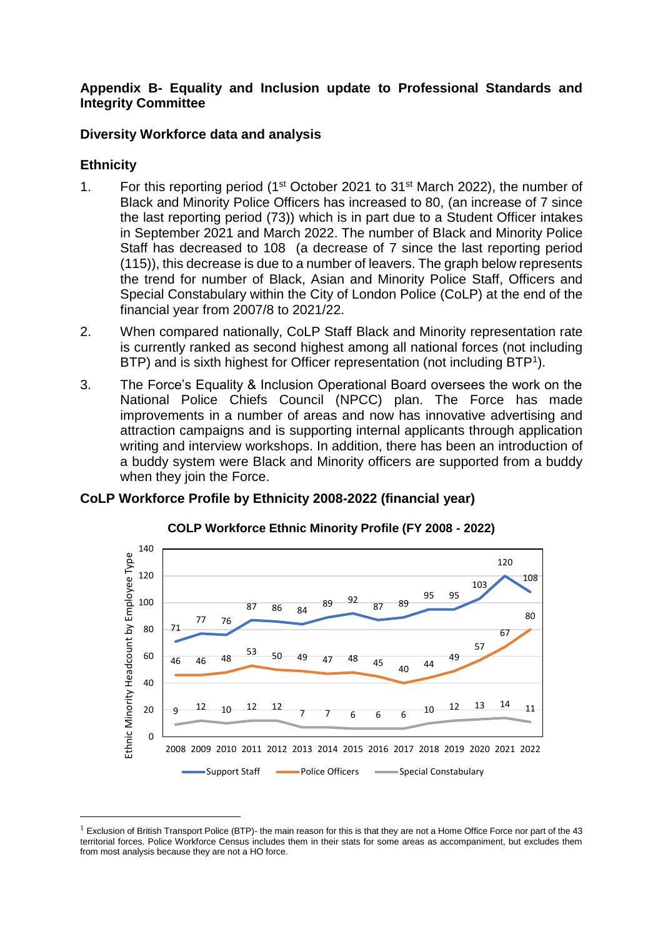### **Appendix B- Equality and Inclusion update to Professional Standards and Integrity Committee**

## **Diversity Workforce data and analysis**

## **Ethnicity**

-

- 1. For this reporting period (1st October 2021 to 31st March 2022), the number of Black and Minority Police Officers has increased to 80, (an increase of 7 since the last reporting period (73)) which is in part due to a Student Officer intakes in September 2021 and March 2022. The number of Black and Minority Police Staff has decreased to 108 (a decrease of 7 since the last reporting period (115)), this decrease is due to a number of leavers. The graph below represents the trend for number of Black, Asian and Minority Police Staff, Officers and Special Constabulary within the City of London Police (CoLP) at the end of the financial year from 2007/8 to 2021/22.
- 2. When compared nationally, CoLP Staff Black and Minority representation rate is currently ranked as second highest among all national forces (not including BTP) and is sixth highest for Officer representation (not including BTP<sup>1</sup>).
- 3. The Force's Equality & Inclusion Operational Board oversees the work on the National Police Chiefs Council (NPCC) plan. The Force has made improvements in a number of areas and now has innovative advertising and attraction campaigns and is supporting internal applicants through application writing and interview workshops. In addition, there has been an introduction of a buddy system were Black and Minority officers are supported from a buddy when they join the Force.

# **CoLP Workforce Profile by Ethnicity 2008-2022 (financial year)**



#### **COLP Workforce Ethnic Minority Profile (FY 2008 - 2022)**

 $1$  Exclusion of British Transport Police (BTP)- the main reason for this is that they are not a Home Office Force nor part of the 43 territorial forces. Police Workforce Census includes them in their stats for some areas as accompaniment, but excludes them from most analysis because they are not a HO force.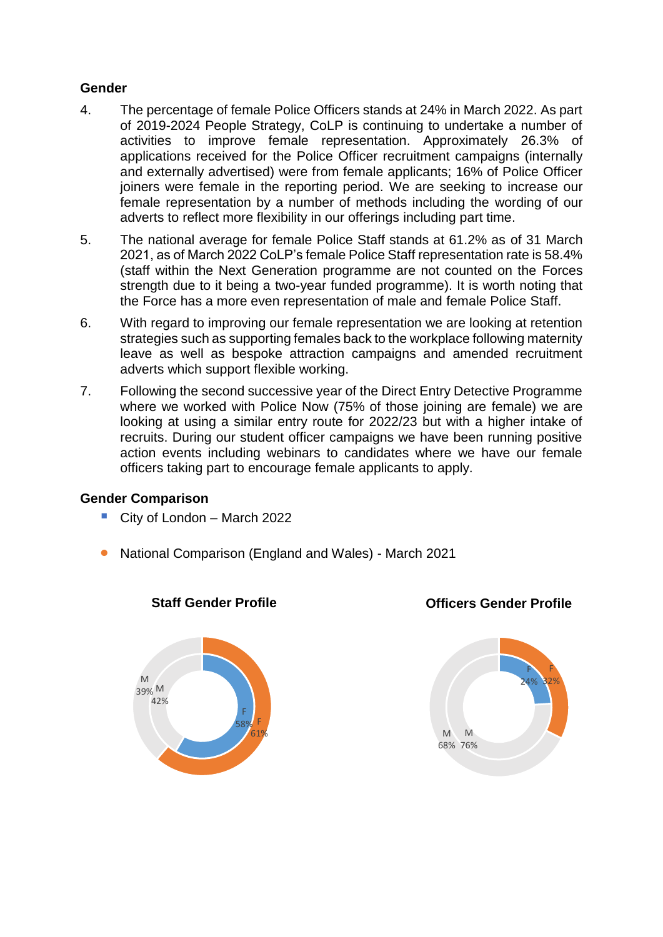## **Gender**

- 4. The percentage of female Police Officers stands at 24% in March 2022. As part of 2019-2024 People Strategy, CoLP is continuing to undertake a number of activities to improve female representation. Approximately 26.3% of applications received for the Police Officer recruitment campaigns (internally and externally advertised) were from female applicants; 16% of Police Officer joiners were female in the reporting period. We are seeking to increase our female representation by a number of methods including the wording of our adverts to reflect more flexibility in our offerings including part time.
- 5. The national average for female Police Staff stands at 61.2% as of 31 March 2021, as of March 2022 CoLP's female Police Staff representation rate is 58.4% (staff within the Next Generation programme are not counted on the Forces strength due to it being a two-year funded programme). It is worth noting that the Force has a more even representation of male and female Police Staff.
- 6. With regard to improving our female representation we are looking at retention strategies such as supporting females back to the workplace following maternity leave as well as bespoke attraction campaigns and amended recruitment adverts which support flexible working.
- 7. Following the second successive year of the Direct Entry Detective Programme where we worked with Police Now (75% of those joining are female) we are looking at using a similar entry route for 2022/23 but with a higher intake of recruits. During our student officer campaigns we have been running positive action events including webinars to candidates where we have our female officers taking part to encourage female applicants to apply.

#### **Gender Comparison**

- City of London March 2022
- National Comparison (England and Wales) March 2021



**Staff Gender Profile**



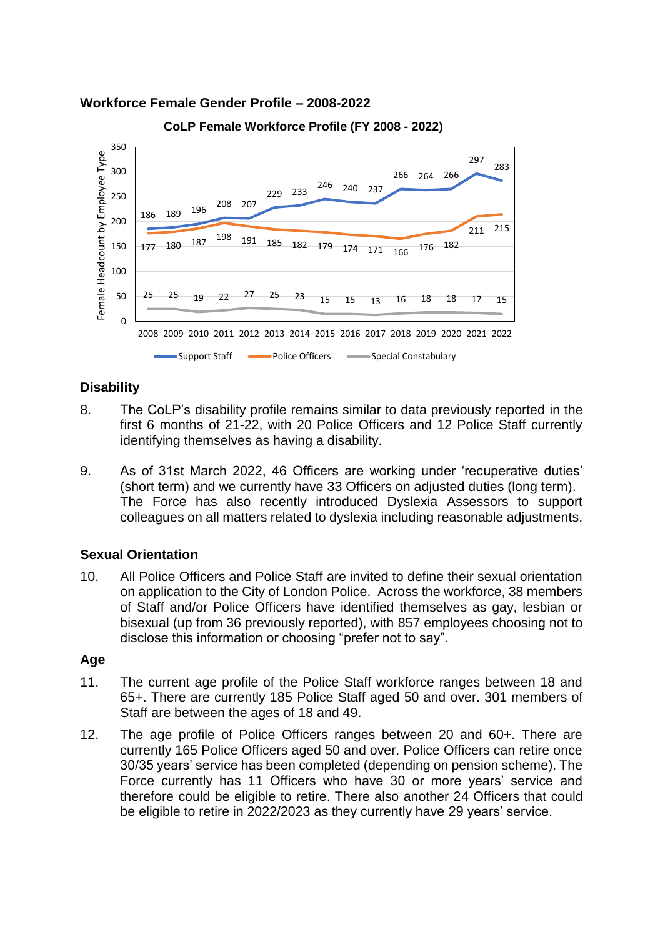#### **Workforce Female Gender Profile – 2008-2022**



**CoLP Female Workforce Profile (FY 2008 - 2022)**

## **Disability**

- 8. The CoLP's disability profile remains similar to data previously reported in the first 6 months of 21-22, with 20 Police Officers and 12 Police Staff currently identifying themselves as having a disability.
- 9. As of 31st March 2022, 46 Officers are working under 'recuperative duties' (short term) and we currently have 33 Officers on adjusted duties (long term). The Force has also recently introduced Dyslexia Assessors to support colleagues on all matters related to dyslexia including reasonable adjustments.

#### **Sexual Orientation**

10. All Police Officers and Police Staff are invited to define their sexual orientation on application to the City of London Police. Across the workforce, 38 members of Staff and/or Police Officers have identified themselves as gay, lesbian or bisexual (up from 36 previously reported), with 857 employees choosing not to disclose this information or choosing "prefer not to say".

#### **Age**

- 11. The current age profile of the Police Staff workforce ranges between 18 and 65+. There are currently 185 Police Staff aged 50 and over. 301 members of Staff are between the ages of 18 and 49.
- 12. The age profile of Police Officers ranges between 20 and 60+. There are currently 165 Police Officers aged 50 and over. Police Officers can retire once 30/35 years' service has been completed (depending on pension scheme). The Force currently has 11 Officers who have 30 or more years' service and therefore could be eligible to retire. There also another 24 Officers that could be eligible to retire in 2022/2023 as they currently have 29 years' service.